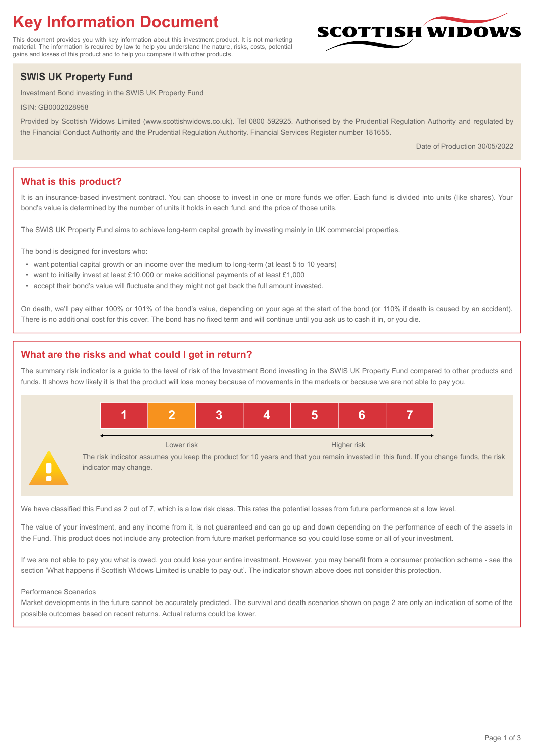# **Key Information Document**

This document provides you with key information about this investment product. It is not marketing material. The information is required by law to help you understand the nature, risks, costs, potential gains and losses of this product and to help you compare it with other products.

## **SWIS UK Property Fund**

Investment Bond investing in the SWIS UK Property Fund

ISIN: GB0002028958

Provided by Scottish Widows Limited (www.scottishwidows.co.uk). Tel 0800 592925. Authorised by the Prudential Regulation Authority and regulated by the Financial Conduct Authority and the Prudential Regulation Authority. Financial Services Register number 181655.

Date of Production 30/05/2022

**SCOTTISH WIDOW** 

## **What is this product?**

It is an insurance-based investment contract. You can choose to invest in one or more funds we offer. Each fund is divided into units (like shares). Your bond's value is determined by the number of units it holds in each fund, and the price of those units.

The SWIS UK Property Fund aims to achieve long-term capital growth by investing mainly in UK commercial properties.

The bond is designed for investors who:

- want potential capital growth or an income over the medium to long-term (at least 5 to 10 years)
- want to initially invest at least £10,000 or make additional payments of at least £1,000
- accept their bond's value will fluctuate and they might not get back the full amount invested.

On death, we'll pay either 100% or 101% of the bond's value, depending on your age at the start of the bond (or 110% if death is caused by an accident). There is no additional cost for this cover. The bond has no fixed term and will continue until you ask us to cash it in, or you die.

## **What are the risks and what could I get in return?**

The summary risk indicator is a guide to the level of risk of the Investment Bond investing in the SWIS UK Property Fund compared to other products and funds. It shows how likely it is that the product will lose money because of movements in the markets or because we are not able to pay you.



We have classified this Fund as 2 out of 7, which is a low risk class. This rates the potential losses from future performance at a low level.

The value of your investment, and any income from it, is not guaranteed and can go up and down depending on the performance of each of the assets in the Fund. This product does not include any protection from future market performance so you could lose some or all of your investment.

If we are not able to pay you what is owed, you could lose your entire investment. However, you may benefit from a consumer protection scheme - see the section 'What happens if Scottish Widows Limited is unable to pay out'. The indicator shown above does not consider this protection.

#### Performance Scenarios

Market developments in the future cannot be accurately predicted. The survival and death scenarios shown on page 2 are only an indication of some of the possible outcomes based on recent returns. Actual returns could be lower.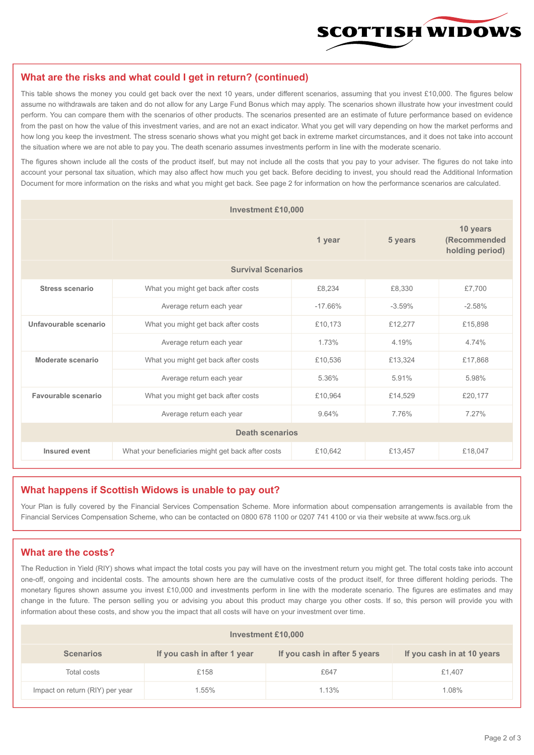

#### **What are the risks and what could I get in return? (continued)**

This table shows the money you could get back over the next 10 years, under different scenarios, assuming that you invest £10,000. The figures below assume no withdrawals are taken and do not allow for any Large Fund Bonus which may apply. The scenarios shown illustrate how your investment could perform. You can compare them with the scenarios of other products. The scenarios presented are an estimate of future performance based on evidence from the past on how the value of this investment varies, and are not an exact indicator. What you get will vary depending on how the market performs and how long you keep the investment. The stress scenario shows what you might get back in extreme market circumstances, and it does not take into account the situation where we are not able to pay you. The death scenario assumes investments perform in line with the moderate scenario.

The figures shown include all the costs of the product itself, but may not include all the costs that you pay to your adviser. The figures do not take into account your personal tax situation, which may also affect how much you get back. Before deciding to invest, you should read the Additional Information Document for more information on the risks and what you might get back. See page 2 for information on how the performance scenarios are calculated.

| <b>Investment £10,000</b> |                                                    |           |          |                                             |  |  |
|---------------------------|----------------------------------------------------|-----------|----------|---------------------------------------------|--|--|
|                           | 1 year                                             |           | 5 years  | 10 years<br>(Recommended<br>holding period) |  |  |
| <b>Survival Scenarios</b> |                                                    |           |          |                                             |  |  |
| <b>Stress scenario</b>    | What you might get back after costs                | £8,234    | £8,330   | £7,700                                      |  |  |
|                           | Average return each year                           | $-17.66%$ | $-3.59%$ | $-2.58%$                                    |  |  |
| Unfavourable scenario     | What you might get back after costs<br>£10,173     |           | £12,277  | £15,898                                     |  |  |
|                           | Average return each year                           | 1.73%     | 4.19%    | 4.74%                                       |  |  |
| Moderate scenario         | What you might get back after costs                | £10,536   | £13,324  | £17,868                                     |  |  |
|                           | Average return each year                           | 5.36%     | 5.91%    | 5.98%                                       |  |  |
| Favourable scenario       | What you might get back after costs                | £10,964   | £14,529  | £20,177                                     |  |  |
| Average return each year  |                                                    | 9.64%     | 7.76%    | 7.27%                                       |  |  |
| <b>Death scenarios</b>    |                                                    |           |          |                                             |  |  |
| Insured event             | What your beneficiaries might get back after costs | £10,642   | £13,457  | £18,047                                     |  |  |

#### **What happens if Scottish Widows is unable to pay out?**

Your Plan is fully covered by the Financial Services Compensation Scheme. More information about compensation arrangements is available from the Financial Services Compensation Scheme, who can be contacted on 0800 678 1100 or 0207 741 4100 or via their website at www.fscs.org.uk

## **What are the costs?**

The Reduction in Yield (RIY) shows what impact the total costs you pay will have on the investment return you might get. The total costs take into account one-off, ongoing and incidental costs. The amounts shown here are the cumulative costs of the product itself, for three different holding periods. The monetary figures shown assume you invest £10,000 and investments perform in line with the moderate scenario. The figures are estimates and may change in the future. The person selling you or advising you about this product may charge you other costs. If so, this person will provide you with information about these costs, and show you the impact that all costs will have on your investment over time.

| <b>Investment £10,000</b>       |                             |                              |                            |  |  |  |
|---------------------------------|-----------------------------|------------------------------|----------------------------|--|--|--|
| <b>Scenarios</b>                | If you cash in after 1 year | If you cash in after 5 years | If you cash in at 10 years |  |  |  |
| Total costs                     | £158                        | £647                         | £1,407                     |  |  |  |
| Impact on return (RIY) per year | .55%                        | 1.13%                        | 1.08%                      |  |  |  |